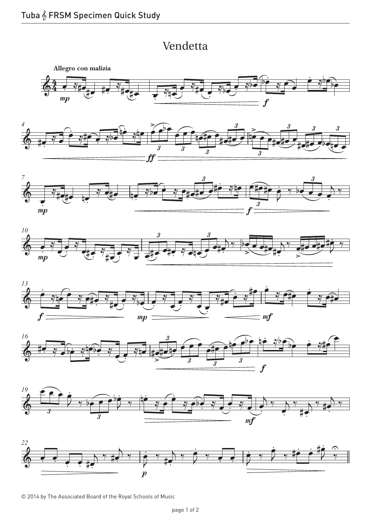## Vendetta Vendetta







© 2014 by The Associated Board of the Royal Schools of Music